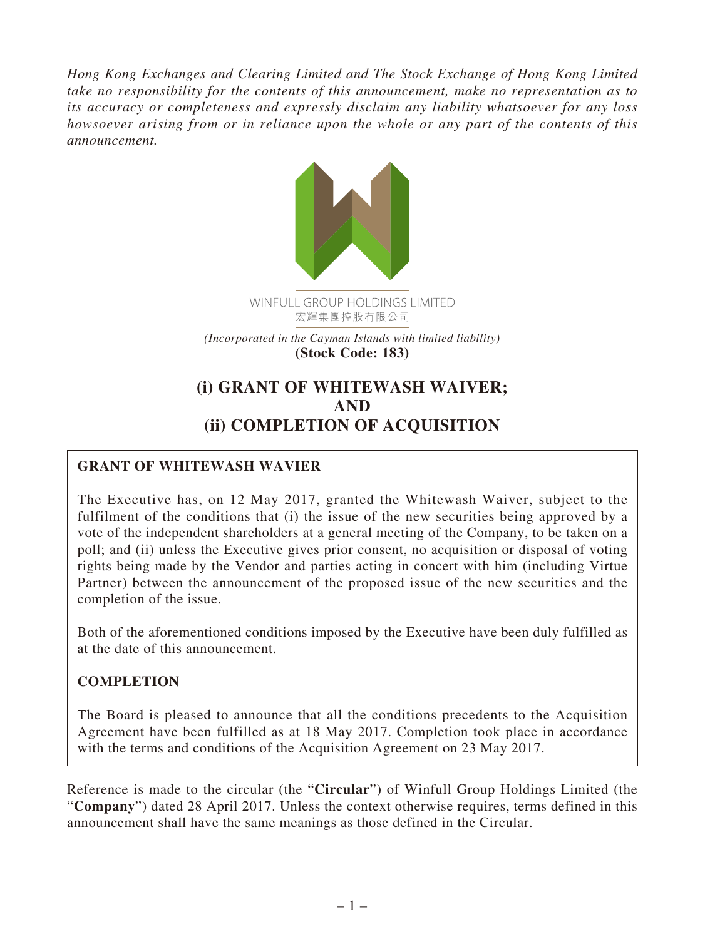*Hong Kong Exchanges and Clearing Limited and The Stock Exchange of Hong Kong Limited take no responsibility for the contents of this announcement, make no representation as to its accuracy or completeness and expressly disclaim any liability whatsoever for any loss howsoever arising from or in reliance upon the whole or any part of the contents of this announcement.*



*(Incorporated in the Cayman Islands with limited liability)* **(Stock Code: 183)**

# **(i) GRANT OF WHITEWASH WAIVER; AND (ii) COMPLETION OF ACQUISITION**

## **GRANT OF WHITEWASH WAVIER**

The Executive has, on 12 May 2017, granted the Whitewash Waiver, subject to the fulfilment of the conditions that (i) the issue of the new securities being approved by a vote of the independent shareholders at a general meeting of the Company, to be taken on a poll; and (ii) unless the Executive gives prior consent, no acquisition or disposal of voting rights being made by the Vendor and parties acting in concert with him (including Virtue Partner) between the announcement of the proposed issue of the new securities and the completion of the issue.

Both of the aforementioned conditions imposed by the Executive have been duly fulfilled as at the date of this announcement.

### **COMPLETION**

The Board is pleased to announce that all the conditions precedents to the Acquisition Agreement have been fulfilled as at 18 May 2017. Completion took place in accordance with the terms and conditions of the Acquisition Agreement on 23 May 2017.

Reference is made to the circular (the "**Circular**") of Winfull Group Holdings Limited (the "**Company**") dated 28 April 2017. Unless the context otherwise requires, terms defined in this announcement shall have the same meanings as those defined in the Circular.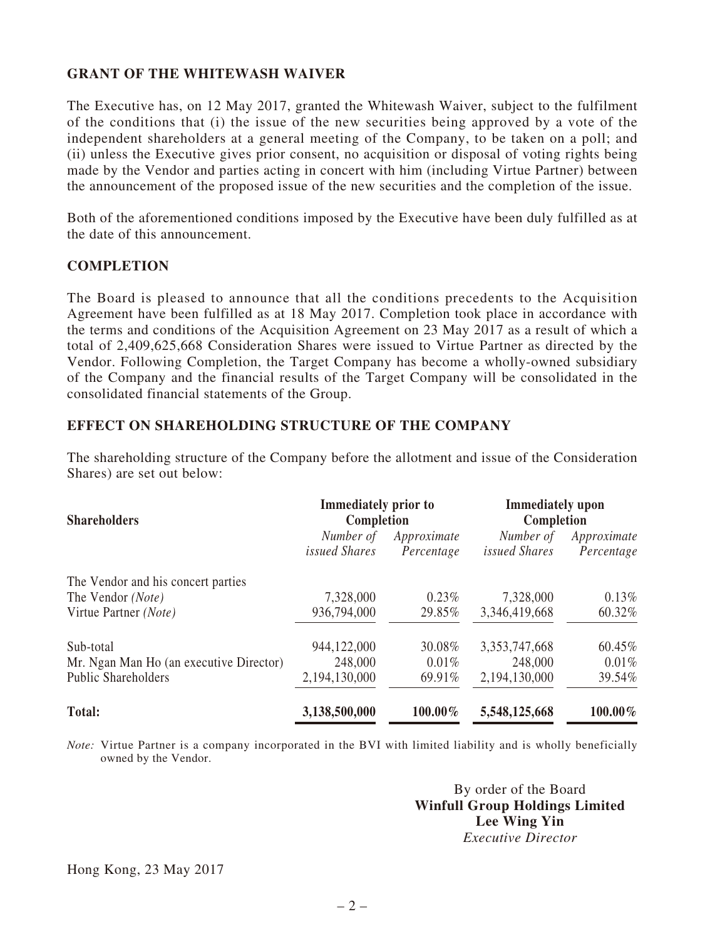#### **GRANT OF THE WHITEWASH WAIVER**

The Executive has, on 12 May 2017, granted the Whitewash Waiver, subject to the fulfilment of the conditions that (i) the issue of the new securities being approved by a vote of the independent shareholders at a general meeting of the Company, to be taken on a poll; and (ii) unless the Executive gives prior consent, no acquisition or disposal of voting rights being made by the Vendor and parties acting in concert with him (including Virtue Partner) between the announcement of the proposed issue of the new securities and the completion of the issue.

Both of the aforementioned conditions imposed by the Executive have been duly fulfilled as at the date of this announcement.

#### **COMPLETION**

The Board is pleased to announce that all the conditions precedents to the Acquisition Agreement have been fulfilled as at 18 May 2017. Completion took place in accordance with the terms and conditions of the Acquisition Agreement on 23 May 2017 as a result of which a total of 2,409,625,668 Consideration Shares were issued to Virtue Partner as directed by the Vendor. Following Completion, the Target Company has become a wholly-owned subsidiary of the Company and the financial results of the Target Company will be consolidated in the consolidated financial statements of the Group.

#### **EFFECT ON SHAREHOLDING STRUCTURE OF THE COMPANY**

The shareholding structure of the Company before the allotment and issue of the Consideration Shares) are set out below:

| <b>Shareholders</b>                     | <b>Immediately prior to</b><br>Completion |                           | <b>Immediately</b> upon<br>Completion |                           |
|-----------------------------------------|-------------------------------------------|---------------------------|---------------------------------------|---------------------------|
|                                         | Number of<br><i>issued Shares</i>         | Approximate<br>Percentage | Number of<br><i>issued Shares</i>     | Approximate<br>Percentage |
| The Vendor and his concert parties      |                                           |                           |                                       |                           |
| The Vendor (Note)                       | 7,328,000                                 | $0.23\%$                  | 7,328,000                             | $0.13\%$                  |
| Virtue Partner (Note)                   | 936,794,000                               | 29.85%                    | 3,346,419,668                         | 60.32%                    |
| Sub-total                               | 944,122,000                               | 30.08%                    | 3, 353, 747, 668                      | 60.45%                    |
| Mr. Ngan Man Ho (an executive Director) | 248,000                                   | 0.01%                     | 248,000                               | $0.01\%$                  |
| <b>Public Shareholders</b>              | 2,194,130,000                             | 69.91%                    | 2,194,130,000                         | 39.54%                    |
| <b>Total:</b>                           | 3,138,500,000                             | 100.00%                   | 5,548,125,668                         | 100.00%                   |

*Note:* Virtue Partner is a company incorporated in the BVI with limited liability and is wholly beneficially owned by the Vendor.

> By order of the Board **Winfull Group Holdings Limited Lee Wing Yin** *Executive Director*